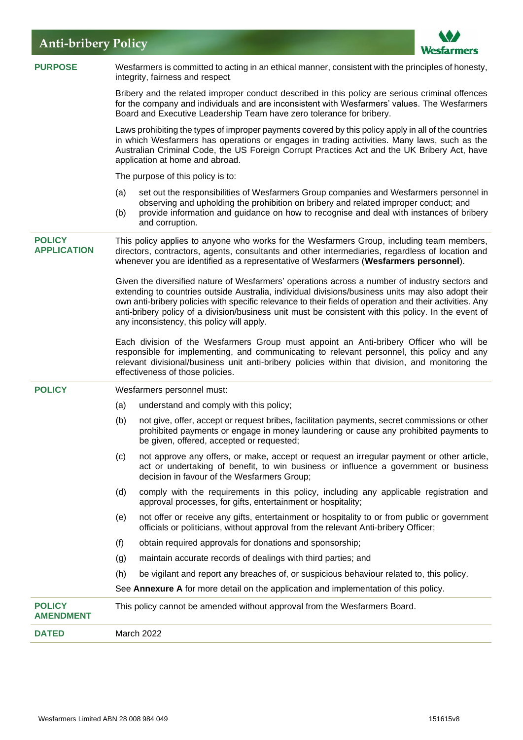# **Anti-bribery Policy**



| <b>PURPOSE</b>                      | Wesfarmers is committed to acting in an ethical manner, consistent with the principles of honesty,<br>integrity, fairness and respect.                                                                                                                                                                                                                                                                                                                                 |
|-------------------------------------|------------------------------------------------------------------------------------------------------------------------------------------------------------------------------------------------------------------------------------------------------------------------------------------------------------------------------------------------------------------------------------------------------------------------------------------------------------------------|
|                                     | Bribery and the related improper conduct described in this policy are serious criminal offences<br>for the company and individuals and are inconsistent with Wesfarmers' values. The Wesfarmers<br>Board and Executive Leadership Team have zero tolerance for bribery.                                                                                                                                                                                                |
|                                     | Laws prohibiting the types of improper payments covered by this policy apply in all of the countries<br>in which Wesfarmers has operations or engages in trading activities. Many laws, such as the<br>Australian Criminal Code, the US Foreign Corrupt Practices Act and the UK Bribery Act, have<br>application at home and abroad.                                                                                                                                  |
|                                     | The purpose of this policy is to:                                                                                                                                                                                                                                                                                                                                                                                                                                      |
|                                     | set out the responsibilities of Wesfarmers Group companies and Wesfarmers personnel in<br>(a)<br>observing and upholding the prohibition on bribery and related improper conduct; and<br>provide information and guidance on how to recognise and deal with instances of bribery<br>(b)<br>and corruption.                                                                                                                                                             |
| <b>POLICY</b><br><b>APPLICATION</b> | This policy applies to anyone who works for the Wesfarmers Group, including team members,<br>directors, contractors, agents, consultants and other intermediaries, regardless of location and<br>whenever you are identified as a representative of Wesfarmers (Wesfarmers personnel).                                                                                                                                                                                 |
|                                     | Given the diversified nature of Wesfarmers' operations across a number of industry sectors and<br>extending to countries outside Australia, individual divisions/business units may also adopt their<br>own anti-bribery policies with specific relevance to their fields of operation and their activities. Any<br>anti-bribery policy of a division/business unit must be consistent with this policy. In the event of<br>any inconsistency, this policy will apply. |
|                                     | Each division of the Wesfarmers Group must appoint an Anti-bribery Officer who will be<br>responsible for implementing, and communicating to relevant personnel, this policy and any<br>relevant divisional/business unit anti-bribery policies within that division, and monitoring the<br>effectiveness of those policies.                                                                                                                                           |
| <b>POLICY</b>                       | Wesfarmers personnel must:                                                                                                                                                                                                                                                                                                                                                                                                                                             |
|                                     | understand and comply with this policy;<br>(a)                                                                                                                                                                                                                                                                                                                                                                                                                         |
|                                     | not give, offer, accept or request bribes, facilitation payments, secret commissions or other<br>(b)<br>prohibited payments or engage in money laundering or cause any prohibited payments to<br>be given, offered, accepted or requested;                                                                                                                                                                                                                             |
|                                     | not approve any offers, or make, accept or request an irregular payment or other article,<br>(c)<br>act or undertaking of benefit, to win business or influence a government or business<br>decision in favour of the Wesfarmers Group;                                                                                                                                                                                                                                |
|                                     | comply with the requirements in this policy, including any applicable registration and<br>(d)<br>approval processes, for gifts, entertainment or hospitality;                                                                                                                                                                                                                                                                                                          |
|                                     | not offer or receive any gifts, entertainment or hospitality to or from public or government<br>(e)<br>officials or politicians, without approval from the relevant Anti-bribery Officer;                                                                                                                                                                                                                                                                              |
|                                     | obtain required approvals for donations and sponsorship;<br>(f)                                                                                                                                                                                                                                                                                                                                                                                                        |
|                                     | maintain accurate records of dealings with third parties; and<br>(g)                                                                                                                                                                                                                                                                                                                                                                                                   |
|                                     | (h)<br>be vigilant and report any breaches of, or suspicious behaviour related to, this policy.                                                                                                                                                                                                                                                                                                                                                                        |
|                                     | See Annexure A for more detail on the application and implementation of this policy.                                                                                                                                                                                                                                                                                                                                                                                   |
| <b>POLICY</b><br><b>AMENDMENT</b>   | This policy cannot be amended without approval from the Wesfarmers Board.                                                                                                                                                                                                                                                                                                                                                                                              |
| <b>DATED</b>                        | March 2022                                                                                                                                                                                                                                                                                                                                                                                                                                                             |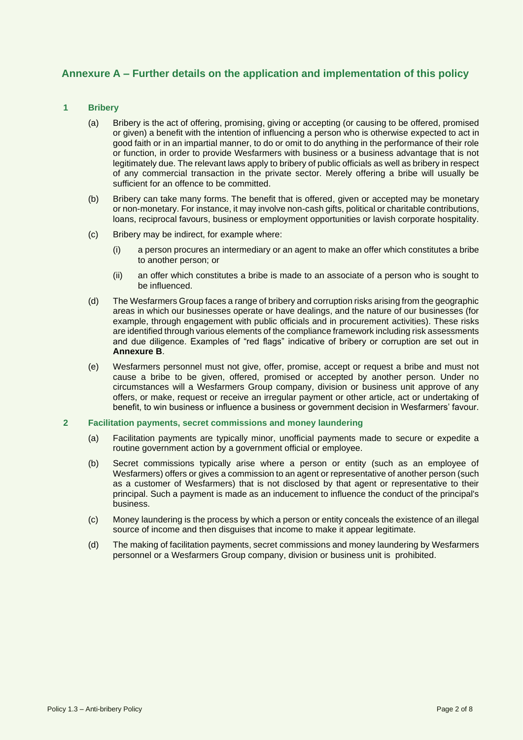# **Annexure A – Further details on the application and implementation of this policy**

## **1 Bribery**

- (a) Bribery is the act of offering, promising, giving or accepting (or causing to be offered, promised or given) a benefit with the intention of influencing a person who is otherwise expected to act in good faith or in an impartial manner, to do or omit to do anything in the performance of their role or function, in order to provide Wesfarmers with business or a business advantage that is not legitimately due. The relevant laws apply to bribery of public officials as well as bribery in respect of any commercial transaction in the private sector. Merely offering a bribe will usually be sufficient for an offence to be committed.
- (b) Bribery can take many forms. The benefit that is offered, given or accepted may be monetary or non-monetary. For instance, it may involve non-cash gifts, political or charitable contributions, loans, reciprocal favours, business or employment opportunities or lavish corporate hospitality.
- (c) Bribery may be indirect, for example where:
	- (i) a person procures an intermediary or an agent to make an offer which constitutes a bribe to another person; or
	- (ii) an offer which constitutes a bribe is made to an associate of a person who is sought to be influenced.
- (d) The Wesfarmers Group faces a range of bribery and corruption risks arising from the geographic areas in which our businesses operate or have dealings, and the nature of our businesses (for example, through engagement with public officials and in procurement activities). These risks are identified through various elements of the compliance framework including risk assessments and due diligence. Examples of "red flags" indicative of bribery or corruption are set out in **Annexure B**.
- (e) Wesfarmers personnel must not give, offer, promise, accept or request a bribe and must not cause a bribe to be given, offered, promised or accepted by another person. Under no circumstances will a Wesfarmers Group company, division or business unit approve of any offers, or make, request or receive an irregular payment or other article, act or undertaking of benefit, to win business or influence a business or government decision in Wesfarmers' favour.

#### **2 Facilitation payments, secret commissions and money laundering**

- (a) Facilitation payments are typically minor, unofficial payments made to secure or expedite a routine government action by a government official or employee.
- (b) Secret commissions typically arise where a person or entity (such as an employee of Wesfarmers) offers or gives a commission to an agent or representative of another person (such as a customer of Wesfarmers) that is not disclosed by that agent or representative to their principal. Such a payment is made as an inducement to influence the conduct of the principal's business.
- (c) Money laundering is the process by which a person or entity conceals the existence of an illegal source of income and then disguises that income to make it appear legitimate.
- (d) The making of facilitation payments, secret commissions and money laundering by Wesfarmers personnel or a Wesfarmers Group company, division or business unit is prohibited.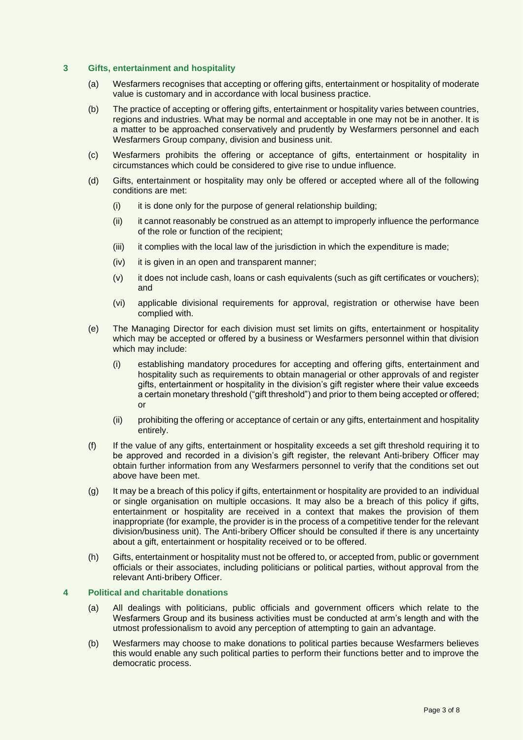#### **3 Gifts, entertainment and hospitality**

- (a) Wesfarmers recognises that accepting or offering gifts, entertainment or hospitality of moderate value is customary and in accordance with local business practice.
- (b) The practice of accepting or offering gifts, entertainment or hospitality varies between countries, regions and industries. What may be normal and acceptable in one may not be in another. It is a matter to be approached conservatively and prudently by Wesfarmers personnel and each Wesfarmers Group company, division and business unit.
- (c) Wesfarmers prohibits the offering or acceptance of gifts, entertainment or hospitality in circumstances which could be considered to give rise to undue influence.
- (d) Gifts, entertainment or hospitality may only be offered or accepted where all of the following conditions are met:
	- (i) it is done only for the purpose of general relationship building;
	- (ii) it cannot reasonably be construed as an attempt to improperly influence the performance of the role or function of the recipient;
	- (iii) it complies with the local law of the jurisdiction in which the expenditure is made;
	- (iv) it is given in an open and transparent manner;
	- (v) it does not include cash, loans or cash equivalents (such as gift certificates or vouchers); and
	- (vi) applicable divisional requirements for approval, registration or otherwise have been complied with.
- (e) The Managing Director for each division must set limits on gifts, entertainment or hospitality which may be accepted or offered by a business or Wesfarmers personnel within that division which may include:
	- (i) establishing mandatory procedures for accepting and offering gifts, entertainment and hospitality such as requirements to obtain managerial or other approvals of and register gifts, entertainment or hospitality in the division's gift register where their value exceeds a certain monetary threshold ("gift threshold") and prior to them being accepted or offered; or
	- (ii) prohibiting the offering or acceptance of certain or any gifts, entertainment and hospitality entirely.
- (f) If the value of any gifts, entertainment or hospitality exceeds a set gift threshold requiring it to be approved and recorded in a division's gift register, the relevant Anti-bribery Officer may obtain further information from any Wesfarmers personnel to verify that the conditions set out above have been met.
- (g) It may be a breach of this policy if gifts, entertainment or hospitality are provided to an individual or single organisation on multiple occasions. It may also be a breach of this policy if gifts, entertainment or hospitality are received in a context that makes the provision of them inappropriate (for example, the provider is in the process of a competitive tender for the relevant division/business unit). The Anti-bribery Officer should be consulted if there is any uncertainty about a gift, entertainment or hospitality received or to be offered.
- (h) Gifts, entertainment or hospitality must not be offered to, or accepted from, public or government officials or their associates, including politicians or political parties, without approval from the relevant Anti-bribery Officer.

## **4 Political and charitable donations**

- (a) All dealings with politicians, public officials and government officers which relate to the Wesfarmers Group and its business activities must be conducted at arm's length and with the utmost professionalism to avoid any perception of attempting to gain an advantage.
- (b) Wesfarmers may choose to make donations to political parties because Wesfarmers believes this would enable any such political parties to perform their functions better and to improve the democratic process.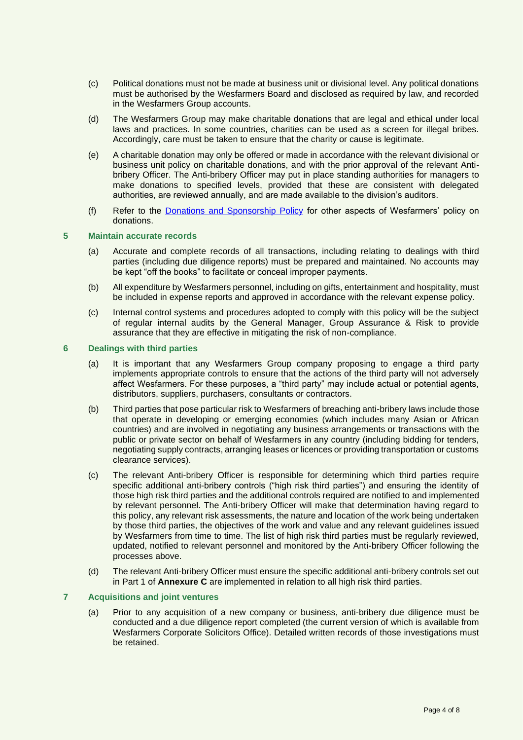- (c) Political donations must not be made at business unit or divisional level. Any political donations must be authorised by the Wesfarmers Board and disclosed as required by law, and recorded in the Wesfarmers Group accounts.
- (d) The Wesfarmers Group may make charitable donations that are legal and ethical under local laws and practices. In some countries, charities can be used as a screen for illegal bribes. Accordingly, care must be taken to ensure that the charity or cause is legitimate.
- (e) A charitable donation may only be offered or made in accordance with the relevant divisional or business unit policy on charitable donations, and with the prior approval of the relevant Antibribery Officer. The Anti-bribery Officer may put in place standing authorities for managers to make donations to specified levels, provided that these are consistent with delegated authorities, are reviewed annually, and are made available to the division's auditors.
- (f) Refer to the [Donations and Sponsorship Policy](https://www.wesfarmers.com.au/who-we-are/corporate-governance) for other aspects of Wesfarmers' policy on donations.

## **5 Maintain accurate records**

- (a) Accurate and complete records of all transactions, including relating to dealings with third parties (including due diligence reports) must be prepared and maintained. No accounts may be kept "off the books" to facilitate or conceal improper payments.
- (b) All expenditure by Wesfarmers personnel, including on gifts, entertainment and hospitality, must be included in expense reports and approved in accordance with the relevant expense policy.
- (c) Internal control systems and procedures adopted to comply with this policy will be the subject of regular internal audits by the General Manager, Group Assurance & Risk to provide assurance that they are effective in mitigating the risk of non-compliance.

#### **6 Dealings with third parties**

- (a) It is important that any Wesfarmers Group company proposing to engage a third party implements appropriate controls to ensure that the actions of the third party will not adversely affect Wesfarmers. For these purposes, a "third party" may include actual or potential agents, distributors, suppliers, purchasers, consultants or contractors.
- (b) Third parties that pose particular risk to Wesfarmers of breaching anti-bribery laws include those that operate in developing or emerging economies (which includes many Asian or African countries) and are involved in negotiating any business arrangements or transactions with the public or private sector on behalf of Wesfarmers in any country (including bidding for tenders, negotiating supply contracts, arranging leases or licences or providing transportation or customs clearance services).
- (c) The relevant Anti-bribery Officer is responsible for determining which third parties require specific additional anti-bribery controls ("high risk third parties") and ensuring the identity of those high risk third parties and the additional controls required are notified to and implemented by relevant personnel. The Anti-bribery Officer will make that determination having regard to this policy, any relevant risk assessments, the nature and location of the work being undertaken by those third parties, the objectives of the work and value and any relevant guidelines issued by Wesfarmers from time to time. The list of high risk third parties must be regularly reviewed, updated, notified to relevant personnel and monitored by the Anti-bribery Officer following the processes above.
- (d) The relevant Anti-bribery Officer must ensure the specific additional anti-bribery controls set out in Part 1 of **Annexure C** are implemented in relation to all high risk third parties.

#### **7 Acquisitions and joint ventures**

(a) Prior to any acquisition of a new company or business, anti-bribery due diligence must be conducted and a due diligence report completed (the current version of which is available from Wesfarmers Corporate Solicitors Office). Detailed written records of those investigations must be retained.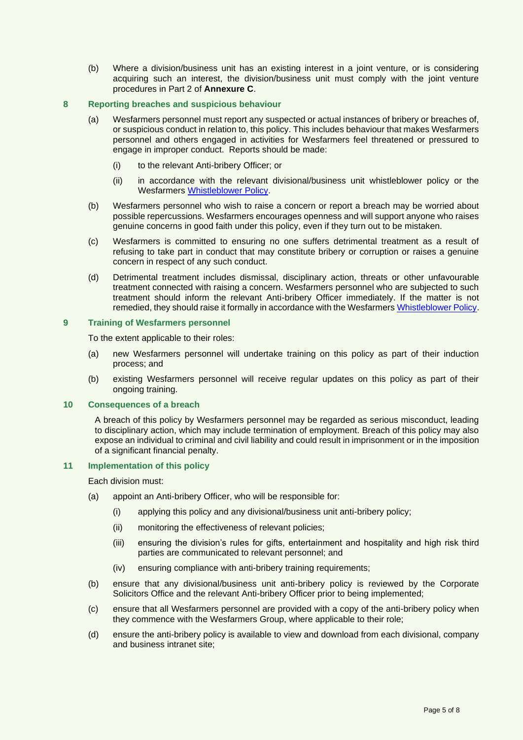(b) Where a division/business unit has an existing interest in a joint venture, or is considering acquiring such an interest, the division/business unit must comply with the joint venture procedures in Part 2 of **Annexure C**.

#### **8 Reporting breaches and suspicious behaviour**

- (a) Wesfarmers personnel must report any suspected or actual instances of bribery or breaches of, or suspicious conduct in relation to, this policy. This includes behaviour that makes Wesfarmers personnel and others engaged in activities for Wesfarmers feel threatened or pressured to engage in improper conduct. Reports should be made:
	- (i) to the relevant Anti-bribery Officer; or
	- (ii) in accordance with the relevant divisional/business unit whistleblower policy or the Wesfarmers [Whistleblower Policy.](https://www.wesfarmers.com.au/who-we-are/corporate-governance)
- (b) Wesfarmers personnel who wish to raise a concern or report a breach may be worried about possible repercussions. Wesfarmers encourages openness and will support anyone who raises genuine concerns in good faith under this policy, even if they turn out to be mistaken.
- (c) Wesfarmers is committed to ensuring no one suffers detrimental treatment as a result of refusing to take part in conduct that may constitute bribery or corruption or raises a genuine concern in respect of any such conduct.
- (d) Detrimental treatment includes dismissal, disciplinary action, threats or other unfavourable treatment connected with raising a concern. Wesfarmers personnel who are subjected to such treatment should inform the relevant Anti-bribery Officer immediately. If the matter is not remedied, they should raise it formally in accordance with the Wesfarmers [Whistleblower Policy.](https://www.wesfarmers.com.au/who-we-are/corporate-governance)

#### **9 Training of Wesfarmers personnel**

To the extent applicable to their roles:

- (a) new Wesfarmers personnel will undertake training on this policy as part of their induction process; and
- (b) existing Wesfarmers personnel will receive regular updates on this policy as part of their ongoing training.

## **10 Consequences of a breach**

A breach of this policy by Wesfarmers personnel may be regarded as serious misconduct, leading to disciplinary action, which may include termination of employment. Breach of this policy may also expose an individual to criminal and civil liability and could result in imprisonment or in the imposition of a significant financial penalty.

#### **11 Implementation of this policy**

Each division must:

- (a) appoint an Anti-bribery Officer, who will be responsible for:
	- (i) applying this policy and any divisional/business unit anti-bribery policy;
	- (ii) monitoring the effectiveness of relevant policies;
	- (iii) ensuring the division's rules for gifts, entertainment and hospitality and high risk third parties are communicated to relevant personnel; and
	- (iv) ensuring compliance with anti-bribery training requirements;
- (b) ensure that any divisional/business unit anti-bribery policy is reviewed by the Corporate Solicitors Office and the relevant Anti-bribery Officer prior to being implemented;
- (c) ensure that all Wesfarmers personnel are provided with a copy of the anti-bribery policy when they commence with the Wesfarmers Group, where applicable to their role;
- (d) ensure the anti-bribery policy is available to view and download from each divisional, company and business intranet site;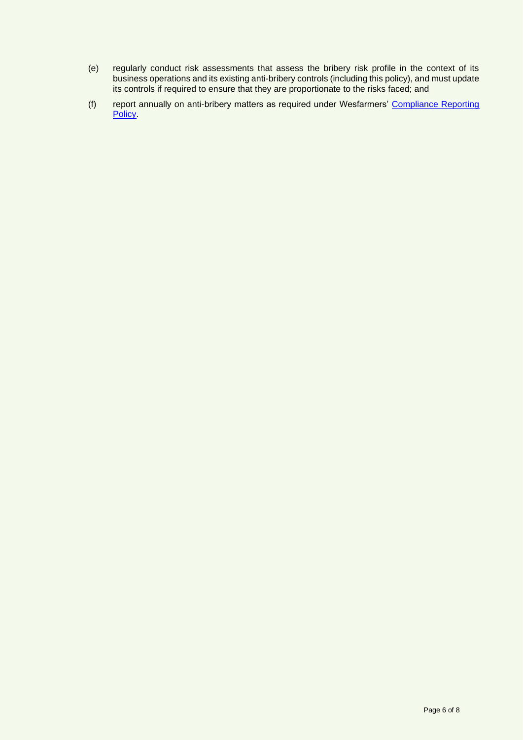- (e) regularly conduct risk assessments that assess the bribery risk profile in the context of its business operations and its existing anti-bribery controls (including this policy), and must update its controls if required to ensure that they are proportionate to the risks faced; and
- (f) report annually on anti-bribery matters as required under Wesfarmers' [Compliance Reporting](https://www.wesfarmers.com.au/who-we-are/corporate-governance)  **Policy**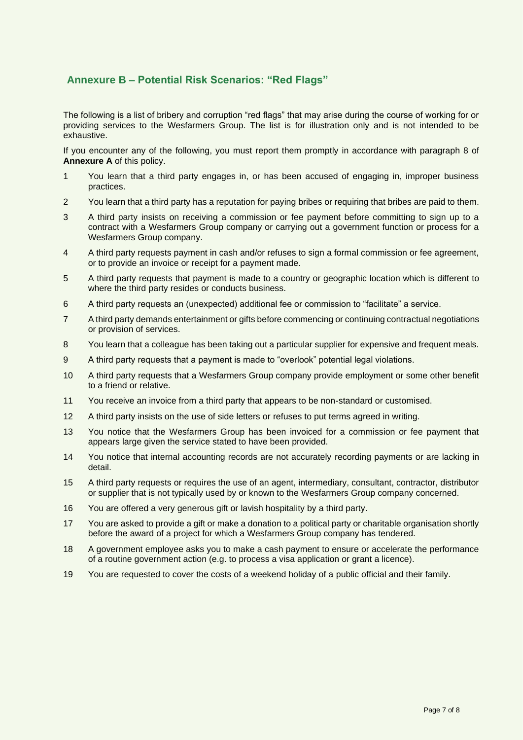# **Annexure B – Potential Risk Scenarios: "Red Flags"**

The following is a list of bribery and corruption "red flags" that may arise during the course of working for or providing services to the Wesfarmers Group. The list is for illustration only and is not intended to be exhaustive.

If you encounter any of the following, you must report them promptly in accordance with paragraph 8 of **Annexure A** of this policy.

- 1 You learn that a third party engages in, or has been accused of engaging in, improper business practices.
- 2 You learn that a third party has a reputation for paying bribes or requiring that bribes are paid to them.
- 3 A third party insists on receiving a commission or fee payment before committing to sign up to a contract with a Wesfarmers Group company or carrying out a government function or process for a Wesfarmers Group company.
- 4 A third party requests payment in cash and/or refuses to sign a formal commission or fee agreement, or to provide an invoice or receipt for a payment made.
- 5 A third party requests that payment is made to a country or geographic location which is different to where the third party resides or conducts business.
- 6 A third party requests an (unexpected) additional fee or commission to "facilitate" a service.
- 7 A third party demands entertainment or gifts before commencing or continuing contractual negotiations or provision of services.
- 8 You learn that a colleague has been taking out a particular supplier for expensive and frequent meals.
- 9 A third party requests that a payment is made to "overlook" potential legal violations.
- 10 A third party requests that a Wesfarmers Group company provide employment or some other benefit to a friend or relative.
- 11 You receive an invoice from a third party that appears to be non-standard or customised.
- 12 A third party insists on the use of side letters or refuses to put terms agreed in writing.
- 13 You notice that the Wesfarmers Group has been invoiced for a commission or fee payment that appears large given the service stated to have been provided.
- 14 You notice that internal accounting records are not accurately recording payments or are lacking in detail.
- 15 A third party requests or requires the use of an agent, intermediary, consultant, contractor, distributor or supplier that is not typically used by or known to the Wesfarmers Group company concerned.
- 16 You are offered a very generous gift or lavish hospitality by a third party.
- 17 You are asked to provide a gift or make a donation to a political party or charitable organisation shortly before the award of a project for which a Wesfarmers Group company has tendered.
- 18 A government employee asks you to make a cash payment to ensure or accelerate the performance of a routine government action (e.g. to process a visa application or grant a licence).
- 19 You are requested to cover the costs of a weekend holiday of a public official and their family.